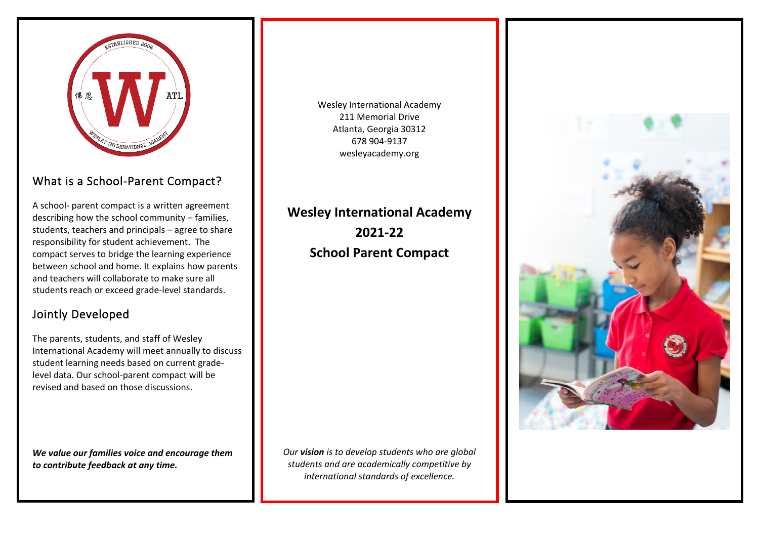

### What is a School-Parent Compact?

A school- parent compact is a written agreement describing how the school community – families, students, teachers and principals – agree to share responsibility for student achievement. The compact serves to bridge the learning experience between school and home. It explains how parents and teachers will collaborate to make sure all students reach or exceed grade-level standards.

## Jointly Developed

The parents, students, and staff of Wesley International Academy will meet annually to discuss student learning needs based on current gradelevel data. Our school-parent compact will be revised and based on those discussions.

*We value our families voice and encourage them to contribute feedback at any time.*

Wesley International Academy 211 Memorial Drive Atlanta, Georgia 30312 678 904-9137 wesleyacademy.org

**Wesley International Academy 2021-22 School Parent Compact**

*Our vision is to develop students who are global students and are academically competitive by international standards of excellence.*